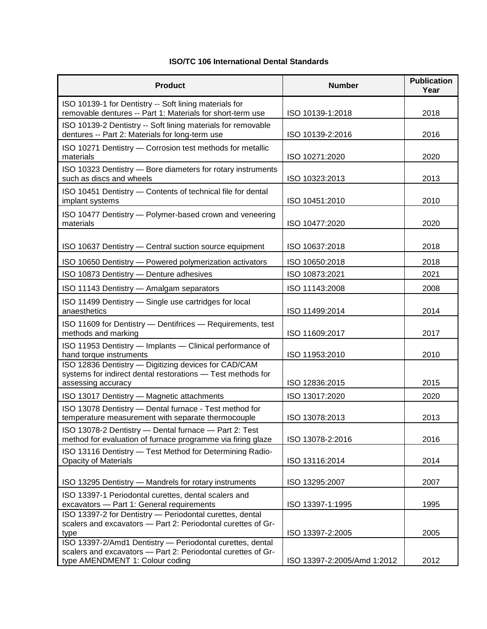## **ISO/TC 106 International Dental Standards**

| <b>Product</b>                                                                                                                            | <b>Number</b>               | <b>Publication</b><br>Year |
|-------------------------------------------------------------------------------------------------------------------------------------------|-----------------------------|----------------------------|
| ISO 10139-1 for Dentistry -- Soft lining materials for<br>removable dentures -- Part 1: Materials for short-term use                      | ISO 10139-1:2018            | 2018                       |
| ISO 10139-2 Dentistry -- Soft lining materials for removable<br>dentures -- Part 2: Materials for long-term use                           | ISO 10139-2:2016            | 2016                       |
| ISO 10271 Dentistry - Corrosion test methods for metallic<br>materials                                                                    | ISO 10271:2020              | 2020                       |
| ISO 10323 Dentistry - Bore diameters for rotary instruments<br>such as discs and wheels                                                   | ISO 10323:2013              | 2013                       |
| ISO 10451 Dentistry - Contents of technical file for dental<br>implant systems                                                            | ISO 10451:2010              | 2010                       |
| ISO 10477 Dentistry - Polymer-based crown and veneering<br>materials                                                                      | ISO 10477:2020              | 2020                       |
| ISO 10637 Dentistry - Central suction source equipment                                                                                    | ISO 10637:2018              | 2018                       |
| ISO 10650 Dentistry - Powered polymerization activators                                                                                   | ISO 10650:2018              | 2018                       |
| ISO 10873 Dentistry - Denture adhesives                                                                                                   | ISO 10873:2021              | 2021                       |
| ISO 11143 Dentistry - Amalgam separators                                                                                                  | ISO 11143:2008              | 2008                       |
| ISO 11499 Dentistry - Single use cartridges for local<br>anaesthetics                                                                     | ISO 11499:2014              | 2014                       |
| ISO 11609 for Dentistry - Dentifrices - Requirements, test<br>methods and marking                                                         | ISO 11609:2017              | 2017                       |
| ISO 11953 Dentistry - Implants - Clinical performance of<br>hand torque instruments                                                       | ISO 11953:2010              | 2010                       |
| ISO 12836 Dentistry - Digitizing devices for CAD/CAM<br>systems for indirect dental restorations - Test methods for<br>assessing accuracy | ISO 12836:2015              | 2015                       |
| ISO 13017 Dentistry - Magnetic attachments                                                                                                | ISO 13017:2020              | 2020                       |
| ISO 13078 Dentistry - Dental furnace - Test method for<br>temperature measurement with separate thermocouple                              | ISO 13078:2013              | 2013                       |
| ISO 13078-2 Dentistry - Dental furnace - Part 2: Test<br>method for evaluation of furnace programme via firing glaze                      | ISO 13078-2:2016            | 2016                       |
| ISO 13116 Dentistry - Test Method for Determining Radio-<br><b>Opacity of Materials</b>                                                   | ISO 13116:2014              | 2014                       |
| ISO 13295 Dentistry - Mandrels for rotary instruments                                                                                     | ISO 13295:2007              | 2007                       |
| ISO 13397-1 Periodontal curettes, dental scalers and<br>excavators - Part 1: General requirements                                         | ISO 13397-1:1995            | 1995                       |
| ISO 13397-2 for Dentistry - Periodontal curettes, dental<br>scalers and excavators - Part 2: Periodontal curettes of Gr-                  | ISO 13397-2:2005            | 2005                       |
| type<br>ISO 13397-2/Amd1 Dentistry - Periodontal curettes, dental<br>scalers and excavators - Part 2: Periodontal curettes of Gr-         |                             |                            |
| type AMENDMENT 1: Colour coding                                                                                                           | ISO 13397-2:2005/Amd 1:2012 | 2012                       |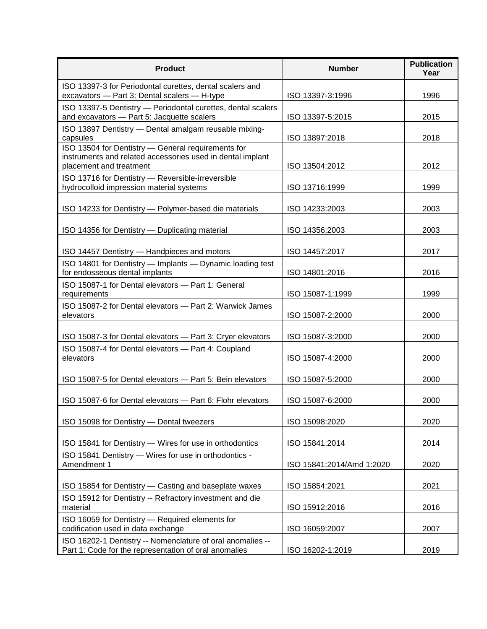| <b>Product</b>                                                                                                                              | <b>Number</b>             | <b>Publication</b><br>Year |
|---------------------------------------------------------------------------------------------------------------------------------------------|---------------------------|----------------------------|
| ISO 13397-3 for Periodontal curettes, dental scalers and<br>excavators - Part 3: Dental scalers - H-type                                    | ISO 13397-3:1996          | 1996                       |
| ISO 13397-5 Dentistry - Periodontal curettes, dental scalers<br>and excavators - Part 5: Jacquette scalers                                  | ISO 13397-5:2015          | 2015                       |
| ISO 13897 Dentistry - Dental amalgam reusable mixing-<br>capsules                                                                           | ISO 13897:2018            | 2018                       |
| ISO 13504 for Dentistry - General requirements for<br>instruments and related accessories used in dental implant<br>placement and treatment | ISO 13504:2012            | 2012                       |
| ISO 13716 for Dentistry - Reversible-irreversible<br>hydrocolloid impression material systems                                               | ISO 13716:1999            | 1999                       |
| ISO 14233 for Dentistry - Polymer-based die materials                                                                                       | ISO 14233:2003            | 2003                       |
| ISO 14356 for Dentistry - Duplicating material                                                                                              | ISO 14356:2003            | 2003                       |
| ISO 14457 Dentistry - Handpieces and motors                                                                                                 | ISO 14457:2017            | 2017                       |
| ISO 14801 for Dentistry - Implants - Dynamic loading test<br>for endosseous dental implants                                                 | ISO 14801:2016            | 2016                       |
| ISO 15087-1 for Dental elevators - Part 1: General<br>requirements                                                                          | ISO 15087-1:1999          | 1999                       |
| ISO 15087-2 for Dental elevators - Part 2: Warwick James<br>elevators                                                                       | ISO 15087-2:2000          | 2000                       |
| ISO 15087-3 for Dental elevators - Part 3: Cryer elevators                                                                                  | ISO 15087-3:2000          | 2000                       |
| ISO 15087-4 for Dental elevators - Part 4: Coupland<br>elevators                                                                            | ISO 15087-4:2000          | 2000                       |
| ISO 15087-5 for Dental elevators - Part 5: Bein elevators                                                                                   | ISO 15087-5:2000          | 2000                       |
| ISO 15087-6 for Dental elevators - Part 6: Flohr elevators                                                                                  | ISO 15087-6:2000          | 2000                       |
| ISO 15098 for Dentistry - Dental tweezers                                                                                                   | ISO 15098:2020            | 2020                       |
| ISO 15841 for Dentistry - Wires for use in orthodontics                                                                                     | ISO 15841:2014            | 2014                       |
| ISO 15841 Dentistry - Wires for use in orthodontics -<br>Amendment 1                                                                        | ISO 15841:2014/Amd 1:2020 | 2020                       |
| ISO 15854 for Dentistry - Casting and baseplate waxes                                                                                       | ISO 15854:2021            | 2021                       |
| ISO 15912 for Dentistry -- Refractory investment and die<br>material                                                                        | ISO 15912:2016            | 2016                       |
| ISO 16059 for Dentistry - Required elements for<br>codification used in data exchange                                                       | ISO 16059:2007            | 2007                       |
| ISO 16202-1 Dentistry -- Nomenclature of oral anomalies --<br>Part 1: Code for the representation of oral anomalies                         | ISO 16202-1:2019          | 2019                       |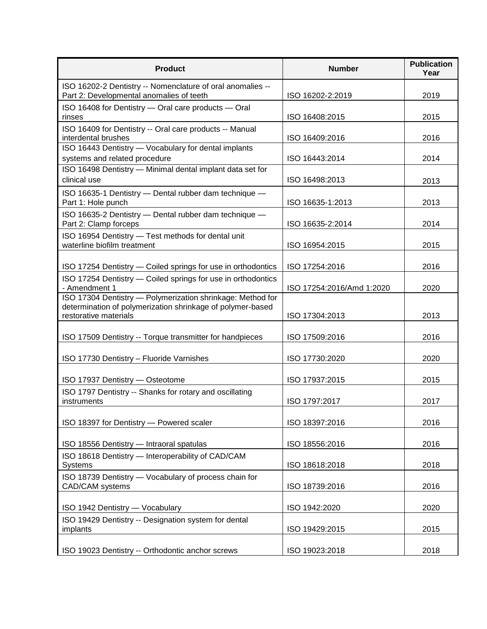| <b>Product</b>                                                                                                                                    | <b>Number</b>             | <b>Publication</b><br>Year |
|---------------------------------------------------------------------------------------------------------------------------------------------------|---------------------------|----------------------------|
| ISO 16202-2 Dentistry -- Nomenclature of oral anomalies --<br>Part 2: Developmental anomalies of teeth                                            | ISO 16202-2:2019          | 2019                       |
| ISO 16408 for Dentistry - Oral care products - Oral<br>rinses                                                                                     | ISO 16408:2015            | 2015                       |
| ISO 16409 for Dentistry -- Oral care products -- Manual<br>interdental brushes                                                                    | ISO 16409:2016            | 2016                       |
| ISO 16443 Dentistry - Vocabulary for dental implants<br>systems and related procedure                                                             | ISO 16443:2014            | 2014                       |
| ISO 16498 Dentistry - Minimal dental implant data set for<br>clinical use                                                                         | ISO 16498:2013            | 2013                       |
| ISO 16635-1 Dentistry - Dental rubber dam technique -<br>Part 1: Hole punch                                                                       | ISO 16635-1:2013          | 2013                       |
| ISO 16635-2 Dentistry - Dental rubber dam technique -<br>Part 2: Clamp forceps                                                                    | ISO 16635-2:2014          | 2014                       |
| ISO 16954 Dentistry - Test methods for dental unit<br>waterline biofilm treatment                                                                 | ISO 16954:2015            | 2015                       |
| ISO 17254 Dentistry - Coiled springs for use in orthodontics                                                                                      | ISO 17254:2016            | 2016                       |
| ISO 17254 Dentistry - Coiled springs for use in orthodontics<br>- Amendment 1                                                                     | ISO 17254:2016/Amd 1:2020 | 2020                       |
| ISO 17304 Dentistry - Polymerization shrinkage: Method for<br>determination of polymerization shrinkage of polymer-based<br>restorative materials | ISO 17304:2013            | 2013                       |
| ISO 17509 Dentistry -- Torque transmitter for handpieces                                                                                          | ISO 17509:2016            | 2016                       |
| ISO 17730 Dentistry - Fluoride Varnishes                                                                                                          | ISO 17730:2020            | 2020                       |
| ISO 17937 Dentistry - Osteotome                                                                                                                   | ISO 17937:2015            | 2015                       |
| ISO 1797 Dentistry -- Shanks for rotary and oscillating<br>instruments                                                                            | ISO 1797:2017             | 2017                       |
| ISO 18397 for Dentistry - Powered scaler                                                                                                          | ISO 18397:2016            | 2016                       |
| ISO 18556 Dentistry - Intraoral spatulas                                                                                                          | ISO 18556:2016            | 2016                       |
| ISO 18618 Dentistry - Interoperability of CAD/CAM<br>Systems                                                                                      | ISO 18618:2018            | 2018                       |
| ISO 18739 Dentistry - Vocabulary of process chain for<br>CAD/CAM systems                                                                          | ISO 18739:2016            | 2016                       |
| ISO 1942 Dentistry - Vocabulary                                                                                                                   | ISO 1942:2020             | 2020                       |
| ISO 19429 Dentistry -- Designation system for dental<br>implants                                                                                  | ISO 19429:2015            | 2015                       |
| ISO 19023 Dentistry -- Orthodontic anchor screws                                                                                                  | ISO 19023:2018            | 2018                       |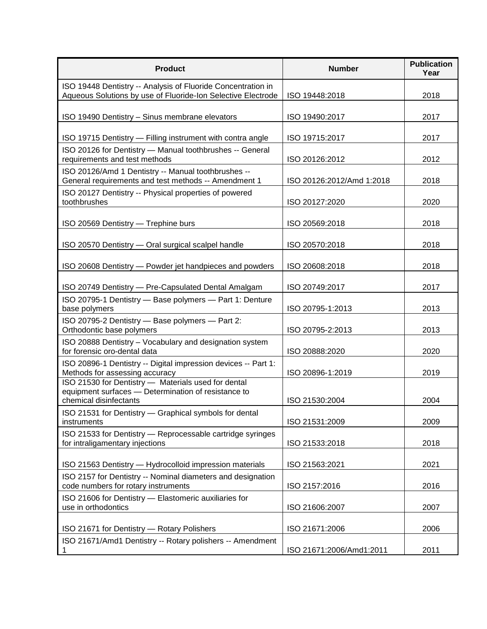| <b>Product</b>                                                                                                                       | <b>Number</b>             | <b>Publication</b><br>Year |
|--------------------------------------------------------------------------------------------------------------------------------------|---------------------------|----------------------------|
| ISO 19448 Dentistry -- Analysis of Fluoride Concentration in<br>Aqueous Solutions by use of Fluoride-Ion Selective Electrode         | ISO 19448:2018            | 2018                       |
| ISO 19490 Dentistry - Sinus membrane elevators                                                                                       | ISO 19490:2017            | 2017                       |
| ISO 19715 Dentistry — Filling instrument with contra angle                                                                           | ISO 19715:2017            | 2017                       |
| ISO 20126 for Dentistry - Manual toothbrushes -- General<br>requirements and test methods                                            | ISO 20126:2012            | 2012                       |
| ISO 20126/Amd 1 Dentistry -- Manual toothbrushes --<br>General requirements and test methods -- Amendment 1                          | ISO 20126:2012/Amd 1:2018 | 2018                       |
| ISO 20127 Dentistry -- Physical properties of powered<br>toothbrushes                                                                | ISO 20127:2020            | 2020                       |
| ISO 20569 Dentistry - Trephine burs                                                                                                  | ISO 20569:2018            | 2018                       |
| ISO 20570 Dentistry - Oral surgical scalpel handle                                                                                   | ISO 20570:2018            | 2018                       |
| ISO 20608 Dentistry - Powder jet handpieces and powders                                                                              | ISO 20608:2018            | 2018                       |
| ISO 20749 Dentistry - Pre-Capsulated Dental Amalgam                                                                                  | ISO 20749:2017            | 2017                       |
| ISO 20795-1 Dentistry - Base polymers - Part 1: Denture<br>base polymers                                                             | ISO 20795-1:2013          | 2013                       |
| ISO 20795-2 Dentistry - Base polymers - Part 2:<br>Orthodontic base polymers                                                         | ISO 20795-2:2013          | 2013                       |
| ISO 20888 Dentistry - Vocabulary and designation system<br>for forensic oro-dental data                                              | ISO 20888:2020            | 2020                       |
| ISO 20896-1 Dentistry -- Digital impression devices -- Part 1:<br>Methods for assessing accuracy                                     | ISO 20896-1:2019          | 2019                       |
| ISO 21530 for Dentistry - Materials used for dental<br>equipment surfaces - Determination of resistance to<br>chemical disinfectants | ISO 21530:2004            | 2004                       |
| ISO 21531 for Dentistry - Graphical symbols for dental<br>instruments                                                                | ISO 21531:2009            | 2009                       |
| ISO 21533 for Dentistry - Reprocessable cartridge syringes<br>for intraligamentary injections                                        | ISO 21533:2018            | 2018                       |
| ISO 21563 Dentistry - Hydrocolloid impression materials                                                                              | ISO 21563:2021            | 2021                       |
| ISO 2157 for Dentistry -- Nominal diameters and designation<br>code numbers for rotary instruments                                   | ISO 2157:2016             | 2016                       |
| ISO 21606 for Dentistry - Elastomeric auxiliaries for<br>use in orthodontics                                                         | ISO 21606:2007            | 2007                       |
| ISO 21671 for Dentistry - Rotary Polishers                                                                                           | ISO 21671:2006            | 2006                       |
| ISO 21671/Amd1 Dentistry -- Rotary polishers -- Amendment<br>1                                                                       | ISO 21671:2006/Amd1:2011  | 2011                       |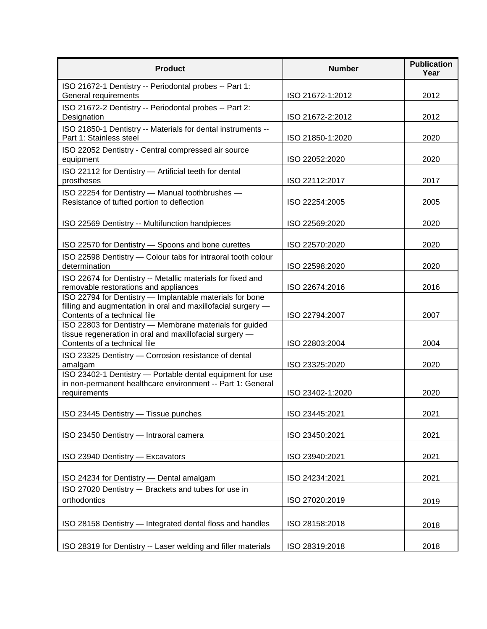| <b>Product</b>                                                                                                                                           | <b>Number</b>    | <b>Publication</b><br>Year |
|----------------------------------------------------------------------------------------------------------------------------------------------------------|------------------|----------------------------|
| ISO 21672-1 Dentistry -- Periodontal probes -- Part 1:<br>General requirements                                                                           | ISO 21672-1:2012 | 2012                       |
| ISO 21672-2 Dentistry -- Periodontal probes -- Part 2:<br>Designation                                                                                    | ISO 21672-2:2012 | 2012                       |
| ISO 21850-1 Dentistry -- Materials for dental instruments --<br>Part 1: Stainless steel                                                                  | ISO 21850-1:2020 | 2020                       |
| ISO 22052 Dentistry - Central compressed air source<br>equipment                                                                                         | ISO 22052:2020   | 2020                       |
| ISO 22112 for Dentistry - Artificial teeth for dental<br>prostheses                                                                                      | ISO 22112:2017   | 2017                       |
| ISO 22254 for Dentistry - Manual toothbrushes -<br>Resistance of tufted portion to deflection                                                            | ISO 22254:2005   | 2005                       |
| ISO 22569 Dentistry -- Multifunction handpieces                                                                                                          | ISO 22569:2020   | 2020                       |
| ISO 22570 for Dentistry - Spoons and bone curettes                                                                                                       | ISO 22570:2020   | 2020                       |
| ISO 22598 Dentistry - Colour tabs for intraoral tooth colour<br>determination                                                                            | ISO 22598:2020   | 2020                       |
| ISO 22674 for Dentistry -- Metallic materials for fixed and<br>removable restorations and appliances                                                     | ISO 22674:2016   | 2016                       |
| ISO 22794 for Dentistry - Implantable materials for bone<br>filling and augmentation in oral and maxillofacial surgery -<br>Contents of a technical file | ISO 22794:2007   | 2007                       |
| ISO 22803 for Dentistry - Membrane materials for guided<br>tissue regeneration in oral and maxillofacial surgery -<br>Contents of a technical file       | ISO 22803:2004   | 2004                       |
| ISO 23325 Dentistry - Corrosion resistance of dental<br>amalgam                                                                                          | ISO 23325:2020   | 2020                       |
| ISO 23402-1 Dentistry - Portable dental equipment for use<br>in non-permanent healthcare environment -- Part 1: General<br>requirements                  | ISO 23402-1:2020 | 2020                       |
| ISO 23445 Dentistry - Tissue punches                                                                                                                     | ISO 23445:2021   | 2021                       |
| ISO 23450 Dentistry - Intraoral camera                                                                                                                   | ISO 23450:2021   | 2021                       |
| ISO 23940 Dentistry - Excavators                                                                                                                         | ISO 23940:2021   | 2021                       |
| ISO 24234 for Dentistry - Dental amalgam                                                                                                                 | ISO 24234:2021   | 2021                       |
| ISO 27020 Dentistry - Brackets and tubes for use in<br>orthodontics                                                                                      | ISO 27020:2019   | 2019                       |
| ISO 28158 Dentistry - Integrated dental floss and handles                                                                                                | ISO 28158:2018   | 2018                       |
| ISO 28319 for Dentistry -- Laser welding and filler materials                                                                                            | ISO 28319:2018   | 2018                       |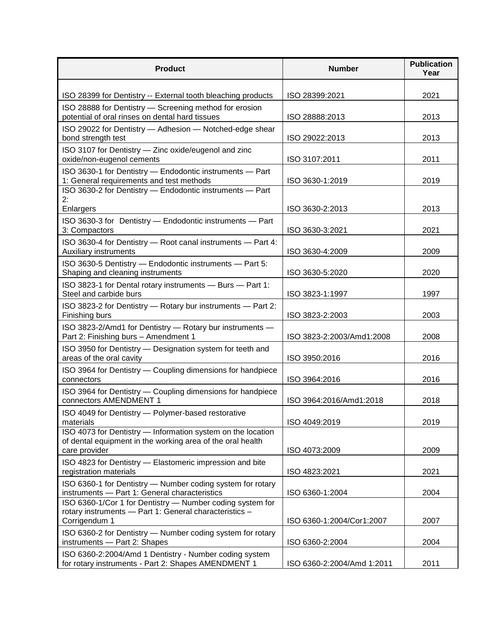| <b>Product</b>                                                                                                                             | <b>Number</b>              | <b>Publication</b><br>Year |
|--------------------------------------------------------------------------------------------------------------------------------------------|----------------------------|----------------------------|
| ISO 28399 for Dentistry -- External tooth bleaching products                                                                               | ISO 28399:2021             | 2021                       |
| ISO 28888 for Dentistry - Screening method for erosion<br>potential of oral rinses on dental hard tissues                                  | ISO 28888:2013             | 2013                       |
| ISO 29022 for Dentistry - Adhesion - Notched-edge shear<br>bond strength test                                                              | ISO 29022:2013             | 2013                       |
| ISO 3107 for Dentistry - Zinc oxide/eugenol and zinc<br>oxide/non-eugenol cements                                                          | ISO 3107:2011              | 2011                       |
| ISO 3630-1 for Dentistry - Endodontic instruments - Part<br>1: General requirements and test methods                                       | ISO 3630-1:2019            | 2019                       |
| ISO 3630-2 for Dentistry - Endodontic instruments - Part<br>2:<br>Enlargers                                                                | ISO 3630-2:2013            | 2013                       |
| ISO 3630-3 for Dentistry - Endodontic instruments - Part<br>3: Compactors                                                                  | ISO 3630-3:2021            | 2021                       |
| ISO 3630-4 for Dentistry - Root canal instruments - Part 4:<br>Auxiliary instruments                                                       | ISO 3630-4:2009            | 2009                       |
| ISO 3630-5 Dentistry - Endodontic instruments - Part 5:<br>Shaping and cleaning instruments                                                | ISO 3630-5:2020            | 2020                       |
| ISO 3823-1 for Dental rotary instruments - Burs - Part 1:<br>Steel and carbide burs                                                        | ISO 3823-1:1997            | 1997                       |
| ISO 3823-2 for Dentistry - Rotary bur instruments - Part 2:<br>Finishing burs                                                              | ISO 3823-2:2003            | 2003                       |
| ISO 3823-2/Amd1 for Dentistry - Rotary bur instruments -<br>Part 2: Finishing burs - Amendment 1                                           | ISO 3823-2:2003/Amd1:2008  | 2008                       |
| ISO 3950 for Dentistry - Designation system for teeth and<br>areas of the oral cavity                                                      | ISO 3950:2016              | 2016                       |
| ISO 3964 for Dentistry - Coupling dimensions for handpiece<br>connectors                                                                   | ISO 3964:2016              | 2016                       |
| ISO 3964 for Dentistry - Coupling dimensions for handpiece<br>connectors AMENDMENT 1                                                       | ISO 3964:2016/Amd1:2018    | 2018                       |
| ISO 4049 for Dentistry - Polymer-based restorative<br>materials                                                                            | ISO 4049:2019              | 2019                       |
| ISO 4073 for Dentistry - Information system on the location<br>of dental equipment in the working area of the oral health<br>care provider | ISO 4073:2009              | 2009                       |
| ISO 4823 for Dentistry - Elastomeric impression and bite<br>registration materials                                                         | ISO 4823:2021              | 2021                       |
| ISO 6360-1 for Dentistry - Number coding system for rotary<br>instruments - Part 1: General characteristics                                | ISO 6360-1:2004            | 2004                       |
| ISO 6360-1/Cor 1 for Dentistry - Number coding system for<br>rotary instruments - Part 1: General characteristics -<br>Corrigendum 1       | ISO 6360-1:2004/Cor1:2007  | 2007                       |
| ISO 6360-2 for Dentistry - Number coding system for rotary<br>instruments - Part 2: Shapes                                                 | ISO 6360-2:2004            | 2004                       |
| ISO 6360-2:2004/Amd 1 Dentistry - Number coding system<br>for rotary instruments - Part 2: Shapes AMENDMENT 1                              | ISO 6360-2:2004/Amd 1:2011 | 2011                       |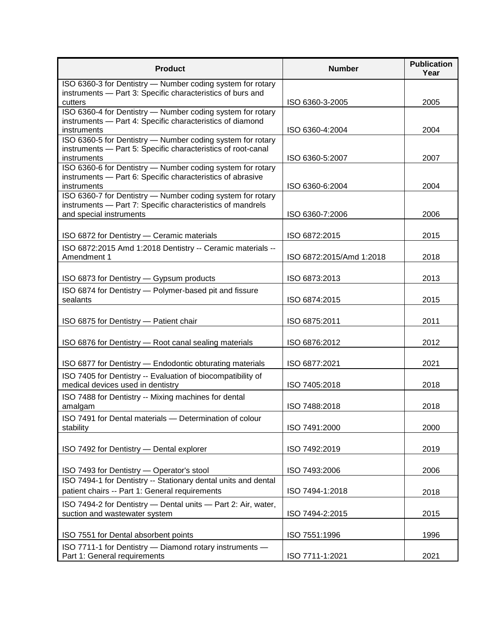| <b>Product</b>                                                                                                           | <b>Number</b>            | <b>Publication</b><br>Year |
|--------------------------------------------------------------------------------------------------------------------------|--------------------------|----------------------------|
| ISO 6360-3 for Dentistry - Number coding system for rotary                                                               |                          |                            |
| instruments - Part 3: Specific characteristics of burs and<br>cutters                                                    | ISO 6360-3-2005          | 2005                       |
| ISO 6360-4 for Dentistry - Number coding system for rotary                                                               |                          |                            |
| instruments - Part 4: Specific characteristics of diamond                                                                |                          |                            |
| instruments                                                                                                              | ISO 6360-4:2004          | 2004                       |
| ISO 6360-5 for Dentistry - Number coding system for rotary                                                               |                          |                            |
| instruments - Part 5: Specific characteristics of root-canal                                                             |                          |                            |
| instruments                                                                                                              | ISO 6360-5:2007          | 2007                       |
| ISO 6360-6 for Dentistry - Number coding system for rotary                                                               |                          |                            |
| instruments - Part 6: Specific characteristics of abrasive                                                               |                          |                            |
| instruments                                                                                                              | ISO 6360-6:2004          | 2004                       |
| ISO 6360-7 for Dentistry - Number coding system for rotary<br>instruments - Part 7: Specific characteristics of mandrels |                          |                            |
| and special instruments                                                                                                  | ISO 6360-7:2006          | 2006                       |
|                                                                                                                          |                          |                            |
|                                                                                                                          |                          |                            |
| ISO 6872 for Dentistry - Ceramic materials                                                                               | ISO 6872:2015            | 2015                       |
| ISO 6872:2015 Amd 1:2018 Dentistry -- Ceramic materials --                                                               |                          |                            |
| Amendment 1                                                                                                              | ISO 6872:2015/Amd 1:2018 | 2018                       |
|                                                                                                                          |                          |                            |
| ISO 6873 for Dentistry - Gypsum products                                                                                 | ISO 6873:2013            | 2013                       |
| ISO 6874 for Dentistry - Polymer-based pit and fissure                                                                   |                          |                            |
| sealants                                                                                                                 | ISO 6874:2015            | 2015                       |
|                                                                                                                          |                          |                            |
| ISO 6875 for Dentistry - Patient chair                                                                                   | ISO 6875:2011            | 2011                       |
|                                                                                                                          |                          |                            |
| ISO 6876 for Dentistry - Root canal sealing materials                                                                    | ISO 6876:2012            | 2012                       |
|                                                                                                                          |                          |                            |
| ISO 6877 for Dentistry - Endodontic obturating materials                                                                 | ISO 6877:2021            | 2021                       |
| ISO 7405 for Dentistry -- Evaluation of biocompatibility of                                                              |                          |                            |
| medical devices used in dentistry                                                                                        | ISO 7405:2018            | 2018                       |
| ISO 7488 for Dentistry -- Mixing machines for dental                                                                     |                          |                            |
| amalgam                                                                                                                  | ISO 7488:2018            | 2018                       |
| ISO 7491 for Dental materials - Determination of colour                                                                  |                          |                            |
| stability                                                                                                                | ISO 7491:2000            | 2000                       |
|                                                                                                                          |                          |                            |
|                                                                                                                          |                          |                            |
| ISO 7492 for Dentistry - Dental explorer                                                                                 | ISO 7492:2019            | 2019                       |
|                                                                                                                          |                          |                            |
| ISO 7493 for Dentistry - Operator's stool                                                                                | ISO 7493:2006            | 2006                       |
| ISO 7494-1 for Dentistry -- Stationary dental units and dental                                                           |                          |                            |
| patient chairs -- Part 1: General requirements                                                                           | ISO 7494-1:2018          | 2018                       |
| ISO 7494-2 for Dentistry - Dental units - Part 2: Air, water,                                                            |                          |                            |
| suction and wastewater system                                                                                            | ISO 7494-2:2015          | 2015                       |
|                                                                                                                          |                          |                            |
| ISO 7551 for Dental absorbent points                                                                                     | ISO 7551:1996            | 1996                       |
| ISO 7711-1 for Dentistry - Diamond rotary instruments -                                                                  |                          |                            |
| Part 1: General requirements                                                                                             | ISO 7711-1:2021          | 2021                       |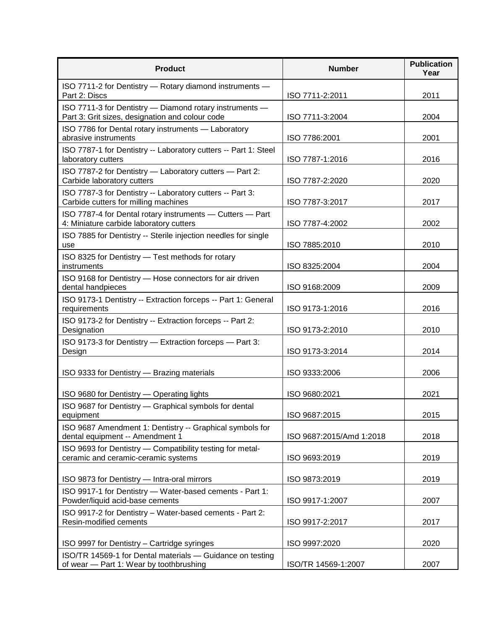| <b>Product</b>                                                                                             | <b>Number</b>            | <b>Publication</b><br>Year |
|------------------------------------------------------------------------------------------------------------|--------------------------|----------------------------|
| ISO 7711-2 for Dentistry - Rotary diamond instruments -<br>Part 2: Discs                                   | ISO 7711-2:2011          | 2011                       |
| ISO 7711-3 for Dentistry - Diamond rotary instruments -<br>Part 3: Grit sizes, designation and colour code | ISO 7711-3:2004          | 2004                       |
| ISO 7786 for Dental rotary instruments - Laboratory<br>abrasive instruments                                | ISO 7786:2001            | 2001                       |
| ISO 7787-1 for Dentistry -- Laboratory cutters -- Part 1: Steel<br>laboratory cutters                      | ISO 7787-1:2016          | 2016                       |
| ISO 7787-2 for Dentistry - Laboratory cutters - Part 2:<br>Carbide laboratory cutters                      | ISO 7787-2:2020          | 2020                       |
| ISO 7787-3 for Dentistry -- Laboratory cutters -- Part 3:<br>Carbide cutters for milling machines          | ISO 7787-3:2017          | 2017                       |
| ISO 7787-4 for Dental rotary instruments - Cutters - Part<br>4: Miniature carbide laboratory cutters       | ISO 7787-4:2002          | 2002                       |
| ISO 7885 for Dentistry -- Sterile injection needles for single<br>use                                      | ISO 7885:2010            | 2010                       |
| ISO 8325 for Dentistry - Test methods for rotary<br>instruments                                            | ISO 8325:2004            | 2004                       |
| ISO 9168 for Dentistry - Hose connectors for air driven<br>dental handpieces                               | ISO 9168:2009            | 2009                       |
| ISO 9173-1 Dentistry -- Extraction forceps -- Part 1: General<br>requirements                              | ISO 9173-1:2016          | 2016                       |
| ISO 9173-2 for Dentistry -- Extraction forceps -- Part 2:<br>Designation                                   | ISO 9173-2:2010          | 2010                       |
| ISO 9173-3 for Dentistry - Extraction forceps - Part 3:<br>Design                                          | ISO 9173-3:2014          | 2014                       |
| ISO 9333 for Dentistry - Brazing materials                                                                 | ISO 9333:2006            | 2006                       |
| ISO 9680 for Dentistry - Operating lights                                                                  | ISO 9680:2021            | 2021                       |
| ISO 9687 for Dentistry - Graphical symbols for dental<br>equipment                                         | ISO 9687:2015            | 2015                       |
| ISO 9687 Amendment 1: Dentistry -- Graphical symbols for<br>dental equipment -- Amendment 1                | ISO 9687:2015/Amd 1:2018 | 2018                       |
| ISO 9693 for Dentistry - Compatibility testing for metal-<br>ceramic and ceramic-ceramic systems           | ISO 9693:2019            | 2019                       |
| ISO 9873 for Dentistry - Intra-oral mirrors                                                                | ISO 9873:2019            | 2019                       |
| ISO 9917-1 for Dentistry - Water-based cements - Part 1:<br>Powder/liquid acid-base cements                | ISO 9917-1:2007          | 2007                       |
| ISO 9917-2 for Dentistry - Water-based cements - Part 2:<br>Resin-modified cements                         | ISO 9917-2:2017          | 2017                       |
| ISO 9997 for Dentistry - Cartridge syringes                                                                | ISO 9997:2020            | 2020                       |
| ISO/TR 14569-1 for Dental materials - Guidance on testing<br>of wear - Part 1: Wear by toothbrushing       | ISO/TR 14569-1:2007      | 2007                       |